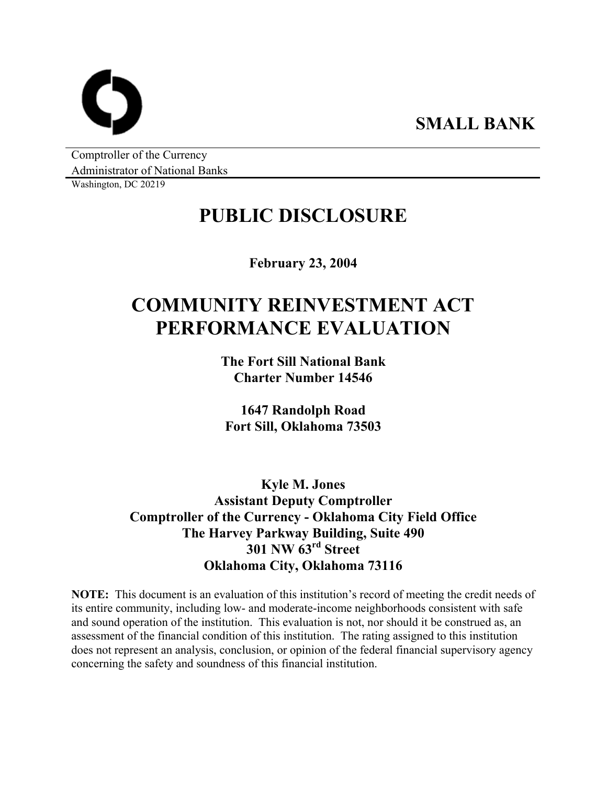**SMALL BANK** 

Comptroller of the Currency Administrator of National Banks

Washington, DC 20219

# **PUBLIC DISCLOSURE**

**February 23, 2004** 

# **COMMUNITY REINVESTMENT ACT PERFORMANCE EVALUATION**

**The Fort Sill National Bank Charter Number 14546** 

**1647 Randolph Road Fort Sill, Oklahoma 73503** 

**Kyle M. Jones Assistant Deputy Comptroller Comptroller of the Currency - Oklahoma City Field Office The Harvey Parkway Building, Suite 490 301 NW 63rd Street Oklahoma City, Oklahoma 73116** 

**NOTE:** This document is an evaluation of this institution's record of meeting the credit needs of its entire community, including low- and moderate-income neighborhoods consistent with safe and sound operation of the institution. This evaluation is not, nor should it be construed as, an assessment of the financial condition of this institution. The rating assigned to this institution does not represent an analysis, conclusion, or opinion of the federal financial supervisory agency concerning the safety and soundness of this financial institution.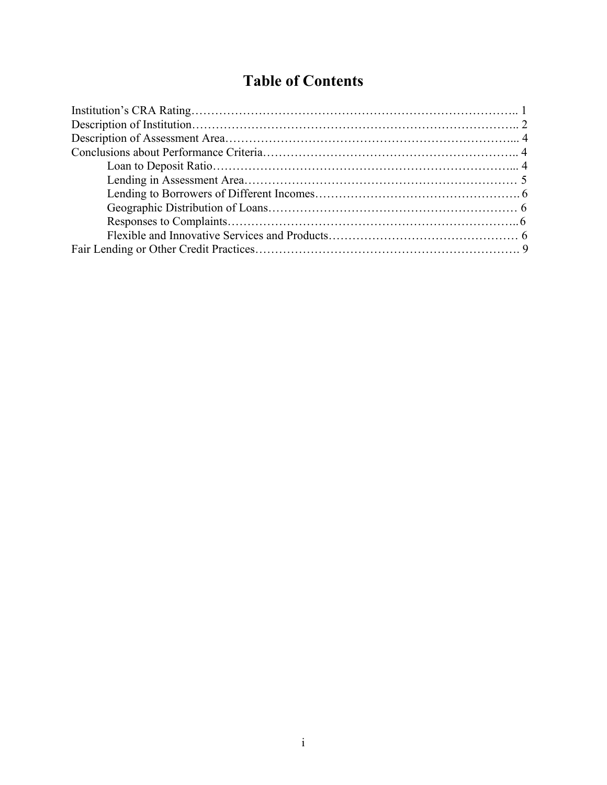# **Table of Contents**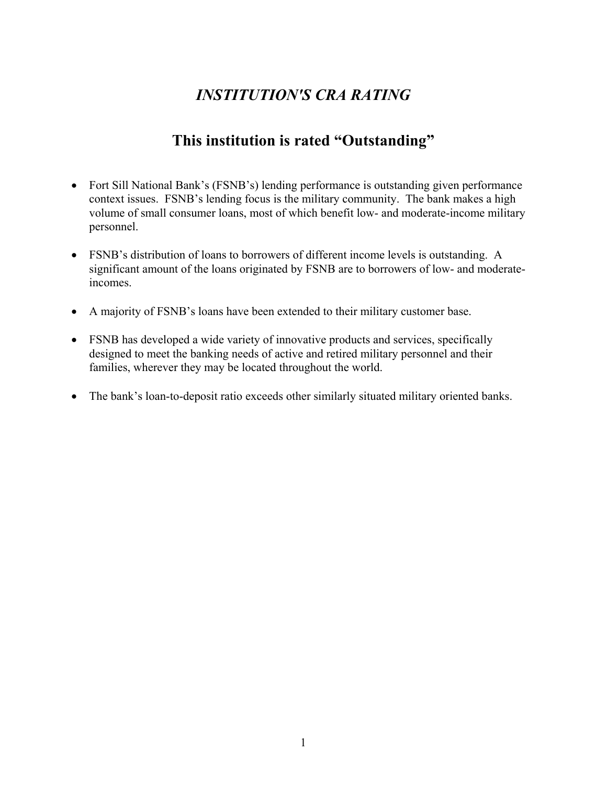## *INSTITUTION'S CRA RATING*

## **This institution is rated "Outstanding"**

- Fort Sill National Bank's (FSNB's) lending performance is outstanding given performance context issues. FSNB's lending focus is the military community. The bank makes a high volume of small consumer loans, most of which benefit low- and moderate-income military personnel.
- FSNB's distribution of loans to borrowers of different income levels is outstanding. A significant amount of the loans originated by FSNB are to borrowers of low- and moderateincomes.
- A majority of FSNB's loans have been extended to their military customer base.
- FSNB has developed a wide variety of innovative products and services, specifically designed to meet the banking needs of active and retired military personnel and their families, wherever they may be located throughout the world.
- The bank's loan-to-deposit ratio exceeds other similarly situated military oriented banks.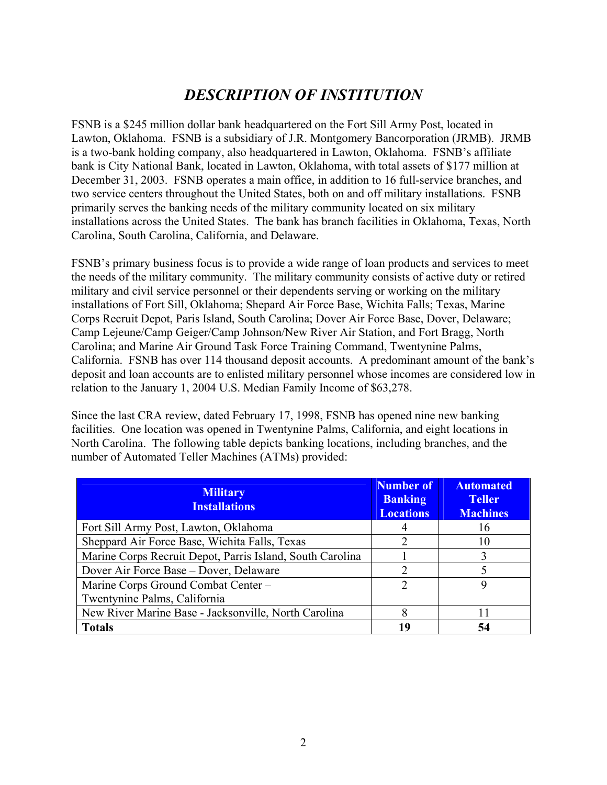## *DESCRIPTION OF INSTITUTION*

FSNB is a \$245 million dollar bank headquartered on the Fort Sill Army Post, located in Lawton, Oklahoma. FSNB is a subsidiary of J.R. Montgomery Bancorporation (JRMB). JRMB is a two-bank holding company, also headquartered in Lawton, Oklahoma. FSNB's affiliate bank is City National Bank, located in Lawton, Oklahoma, with total assets of \$177 million at December 31, 2003. FSNB operates a main office, in addition to 16 full-service branches, and two service centers throughout the United States, both on and off military installations. FSNB primarily serves the banking needs of the military community located on six military installations across the United States. The bank has branch facilities in Oklahoma, Texas, North Carolina, South Carolina, California, and Delaware.

FSNB's primary business focus is to provide a wide range of loan products and services to meet the needs of the military community. The military community consists of active duty or retired military and civil service personnel or their dependents serving or working on the military installations of Fort Sill, Oklahoma; Shepard Air Force Base, Wichita Falls; Texas, Marine Corps Recruit Depot, Paris Island, South Carolina; Dover Air Force Base, Dover, Delaware; Camp Lejeune/Camp Geiger/Camp Johnson/New River Air Station, and Fort Bragg, North Carolina; and Marine Air Ground Task Force Training Command, Twentynine Palms, California. FSNB has over 114 thousand deposit accounts. A predominant amount of the bank's deposit and loan accounts are to enlisted military personnel whose incomes are considered low in relation to the January 1, 2004 U.S. Median Family Income of \$63,278.

Since the last CRA review, dated February 17, 1998, FSNB has opened nine new banking facilities. One location was opened in Twentynine Palms, California, and eight locations in North Carolina. The following table depicts banking locations, including branches, and the number of Automated Teller Machines (ATMs) provided:

| <b>Military</b><br><b>Installations</b>                   | <b>Number of</b><br><b>Banking</b><br><b>Locations</b> | <b>Automated</b><br><b>Teller</b><br><b>Machines</b> |
|-----------------------------------------------------------|--------------------------------------------------------|------------------------------------------------------|
| Fort Sill Army Post, Lawton, Oklahoma                     | 4                                                      | 16                                                   |
| Sheppard Air Force Base, Wichita Falls, Texas             |                                                        | 10                                                   |
| Marine Corps Recruit Depot, Parris Island, South Carolina |                                                        |                                                      |
| Dover Air Force Base – Dover, Delaware                    | $\mathcal{D}_{\mathcal{L}}$                            |                                                      |
| Marine Corps Ground Combat Center -                       | 2                                                      | Q                                                    |
| Twentynine Palms, California                              |                                                        |                                                      |
| New River Marine Base - Jacksonville, North Carolina      | 8                                                      |                                                      |
| <b>Totals</b>                                             | 19                                                     |                                                      |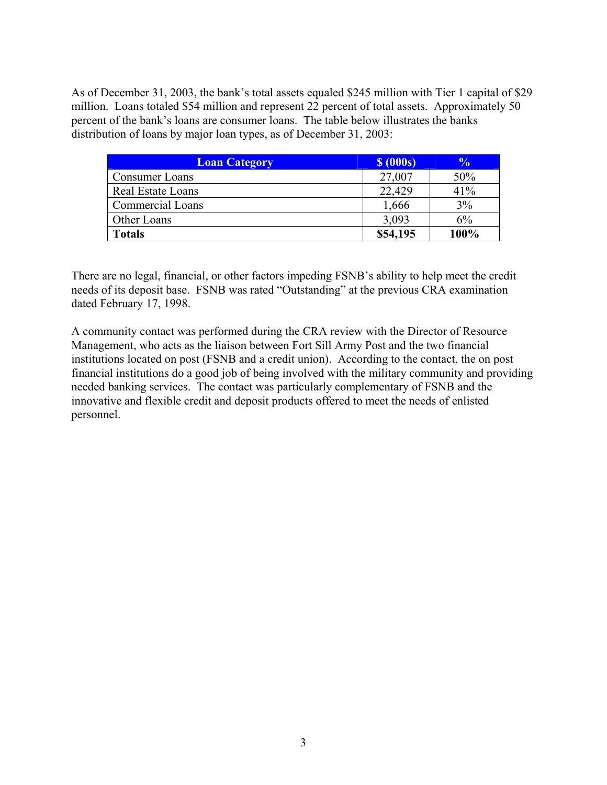As of December 31, 2003, the bank's total assets equaled \$245 million with Tier 1 capital of \$29 million. Loans totaled \$54 million and represent 22 percent of total assets. Approximately 50 percent of the bank's loans are consumer loans. The table below illustrates the banks distribution of loans by major loan types, as of December 31, 2003:

| <b>Loan Category</b>     | $\sqrt{6}$ (000s) | $\frac{0}{0}$ |
|--------------------------|-------------------|---------------|
| Consumer Loans           | 27,007            | 50%           |
| <b>Real Estate Loans</b> | 22,429            | 41%           |
| Commercial Loans         | 1,666             | 3%            |
| Other Loans              | 3,093             | 6%            |
| <b>Totals</b>            | \$54,195          | 100%          |

There are no legal, financial, or other factors impeding FSNB's ability to help meet the credit needs of its deposit base. FSNB was rated "Outstanding" at the previous CRA examination dated February 17, 1998.

A community contact was performed during the CRA review with the Director of Resource Management, who acts as the liaison between Fort Sill Army Post and the two financial institutions located on post (FSNB and a credit union). According to the contact, the on post financial institutions do a good job of being involved with the military community and providing needed banking services. The contact was particularly complementary of FSNB and the innovative and flexible credit and deposit products offered to meet the needs of enlisted personnel.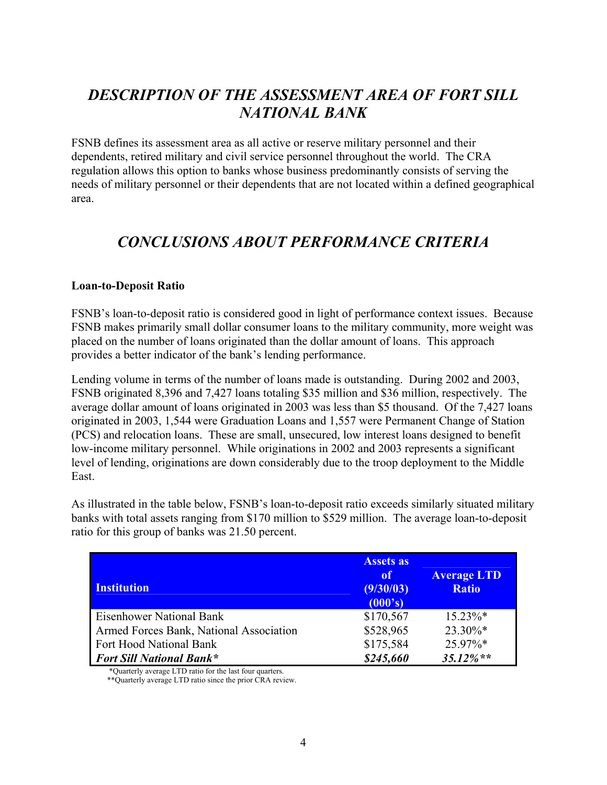## *DESCRIPTION OF THE ASSESSMENT AREA OF FORT SILL NATIONAL BANK*

FSNB defines its assessment area as all active or reserve military personnel and their dependents, retired military and civil service personnel throughout the world. The CRA regulation allows this option to banks whose business predominantly consists of serving the needs of military personnel or their dependents that are not located within a defined geographical area.

## *CONCLUSIONS ABOUT PERFORMANCE CRITERIA*

#### **Loan-to-Deposit Ratio**

FSNB's loan-to-deposit ratio is considered good in light of performance context issues. Because FSNB makes primarily small dollar consumer loans to the military community, more weight was placed on the number of loans originated than the dollar amount of loans. This approach provides a better indicator of the bank's lending performance.

Lending volume in terms of the number of loans made is outstanding. During 2002 and 2003, FSNB originated 8,396 and 7,427 loans totaling \$35 million and \$36 million, respectively. The average dollar amount of loans originated in 2003 was less than \$5 thousand. Of the 7,427 loans originated in 2003, 1,544 were Graduation Loans and 1,557 were Permanent Change of Station (PCS) and relocation loans. These are small, unsecured, low interest loans designed to benefit low-income military personnel. While originations in 2002 and 2003 represents a significant level of lending, originations are down considerably due to the troop deployment to the Middle East.

As illustrated in the table below, FSNB's loan-to-deposit ratio exceeds similarly situated military banks with total assets ranging from \$170 million to \$529 million. The average loan-to-deposit ratio for this group of banks was 21.50 percent.

| <b>Institution</b>                      | <b>Assets as</b><br>of<br>(9/30/03)<br>(000's) | <b>Average LTD</b><br><b>Ratio</b> |
|-----------------------------------------|------------------------------------------------|------------------------------------|
| <b>Eisenhower National Bank</b>         | \$170,567                                      | $15.23\%*$                         |
| Armed Forces Bank, National Association | \$528,965                                      | $23.30\%*$                         |
| Fort Hood National Bank                 | \$175,584                                      | 25.97%*                            |
| <b>Fort Sill National Bank*</b>         | \$245,660                                      | $35.12\%**$                        |

\*Quarterly average LTD ratio for the last four quarters.

\*\*Quarterly average LTD ratio since the prior CRA review.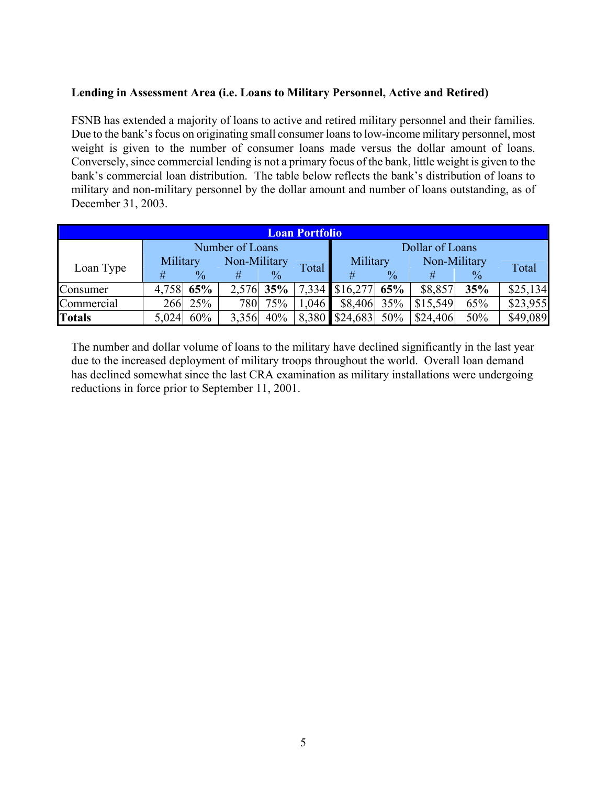#### **Lending in Assessment Area (i.e. Loans to Military Personnel, Active and Retired)**

FSNB has extended a majority of loans to active and retired military personnel and their families. Due to the bank's focus on originating small consumer loans to low-income military personnel, most weight is given to the number of consumer loans made versus the dollar amount of loans. Conversely, since commercial lending is not a primary focus of the bank, little weight is given to the bank's commercial loan distribution. The table below reflects the bank's distribution of loans to military and non-military personnel by the dollar amount and number of loans outstanding, as of December 31, 2003.

| <b>Loan Portfolio</b> |                          |               |       |               |          |                    |               |          |               |          |
|-----------------------|--------------------------|---------------|-------|---------------|----------|--------------------|---------------|----------|---------------|----------|
|                       | Number of Loans          |               |       |               |          | Dollar of Loans    |               |          |               |          |
| Loan Type             | Non-Military<br>Military |               |       |               | Military |                    | Non-Military  |          |               |          |
|                       | #                        | $\frac{0}{0}$ |       | $\frac{0}{0}$ | Total    | #                  | $\frac{0}{0}$ |          | $\frac{0}{0}$ | Total    |
| Consumer              | 4,758 65%                |               |       | $2,576$ 35%   |          | 7,334 \$16,277 65% |               | \$8,857  | 35%           | \$25,134 |
| Commercial            |                          | 266 25%       | 780   | 75%           | 1,046    | $$8,406$ 35%       |               | \$15,549 | 65%           | \$23,955 |
| <b>Totals</b>         | 5,024                    | 60%           | 3,356 | 40%           |          | $8,380$ \$24,683   | 50%           | \$24,406 | 50%           | \$49,089 |

The number and dollar volume of loans to the military have declined significantly in the last year due to the increased deployment of military troops throughout the world. Overall loan demand has declined somewhat since the last CRA examination as military installations were undergoing reductions in force prior to September 11, 2001.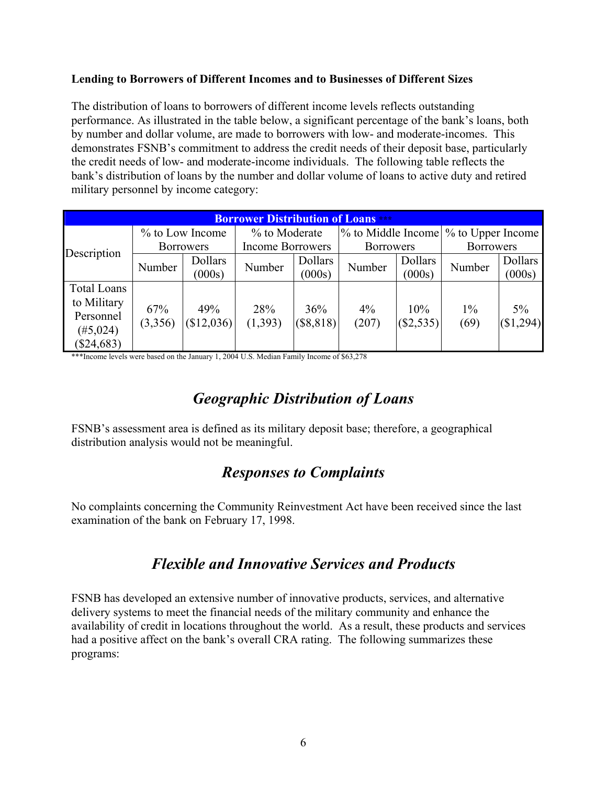#### **Lending to Borrowers of Different Incomes and to Businesses of Different Sizes**

The distribution of loans to borrowers of different income levels reflects outstanding performance. As illustrated in the table below, a significant percentage of the bank's loans, both by number and dollar volume, are made to borrowers with low- and moderate-incomes. This demonstrates FSNB's commitment to address the credit needs of their deposit base, particularly the credit needs of low- and moderate-income individuals. The following table reflects the bank's distribution of loans by the number and dollar volume of loans to active duty and retired military personnel by income category:

| <b>Borrower Distribution of Loans</b> |                  |            |                         |             |                  |           |                                       |           |
|---------------------------------------|------------------|------------|-------------------------|-------------|------------------|-----------|---------------------------------------|-----------|
|                                       | % to Low Income  |            | % to Moderate           |             |                  |           | % to Middle Income \% to Upper Income |           |
| Description                           | <b>Borrowers</b> |            | <b>Income Borrowers</b> |             | <b>Borrowers</b> |           | <b>Borrowers</b>                      |           |
|                                       | Number           | Dollars    | Number                  | Dollars     | Number           | Dollars   | Number                                | Dollars   |
|                                       |                  | (000s)     |                         | (000s)      |                  | (000s)    |                                       | (000s)    |
| <b>Total Loans</b>                    |                  |            |                         |             |                  |           |                                       |           |
| to Military                           | 67%              | 49%        | 28%                     | 36%         | $4\%$            | 10%       | $1\%$                                 | $5\%$     |
| Personnel                             | (3,356)          | (\$12,036) | (1, 393)                | $(\$8,818)$ | (207)            | (\$2,535) | (69)                                  | (\$1,294) |
| $(\#5,024)$                           |                  |            |                         |             |                  |           |                                       |           |
| $(\$24,683)$                          |                  |            |                         |             |                  |           |                                       |           |

\*\*\*Income levels were based on the January 1, 2004 U.S. Median Family Income of \$63,278

## *Geographic Distribution of Loans*

FSNB's assessment area is defined as its military deposit base; therefore, a geographical distribution analysis would not be meaningful.

### *Responses to Complaints*

No complaints concerning the Community Reinvestment Act have been received since the last examination of the bank on February 17, 1998.

### *Flexible and Innovative Services and Products*

FSNB has developed an extensive number of innovative products, services, and alternative delivery systems to meet the financial needs of the military community and enhance the availability of credit in locations throughout the world. As a result, these products and services had a positive affect on the bank's overall CRA rating. The following summarizes these programs: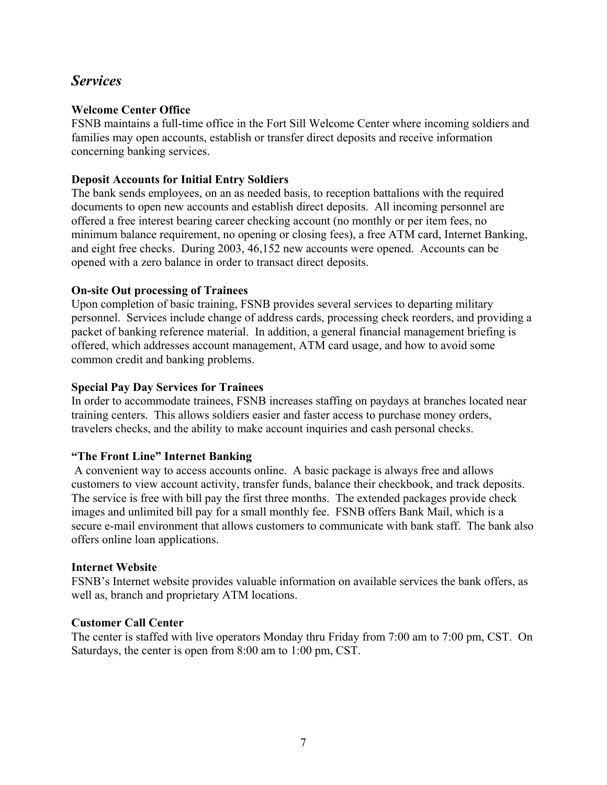### *Services*

#### **Welcome Center Office**

FSNB maintains a full-time office in the Fort Sill Welcome Center where incoming soldiers and families may open accounts, establish or transfer direct deposits and receive information concerning banking services.

#### **Deposit Accounts for Initial Entry Soldiers**

The bank sends employees, on an as needed basis, to reception battalions with the required documents to open new accounts and establish direct deposits. All incoming personnel are offered a free interest bearing career checking account (no monthly or per item fees, no minimum balance requirement, no opening or closing fees), a free ATM card, Internet Banking, and eight free checks. During 2003, 46,152 new accounts were opened. Accounts can be opened with a zero balance in order to transact direct deposits.

#### **On-site Out processing of Trainees**

Upon completion of basic training, FSNB provides several services to departing military personnel. Services include change of address cards, processing check reorders, and providing a packet of banking reference material. In addition, a general financial management briefing is offered, which addresses account management, ATM card usage, and how to avoid some common credit and banking problems.

#### **Special Pay Day Services for Trainees**

In order to accommodate trainees, FSNB increases staffing on paydays at branches located near training centers. This allows soldiers easier and faster access to purchase money orders, travelers checks, and the ability to make account inquiries and cash personal checks.

#### **"The Front Line" Internet Banking**

 A convenient way to access accounts online. A basic package is always free and allows customers to view account activity, transfer funds, balance their checkbook, and track deposits. The service is free with bill pay the first three months. The extended packages provide check images and unlimited bill pay for a small monthly fee. FSNB offers Bank Mail, which is a secure e-mail environment that allows customers to communicate with bank staff. The bank also offers online loan applications.

#### **Internet Website**

FSNB's Internet website provides valuable information on available services the bank offers, as well as, branch and proprietary ATM locations.

#### **Customer Call Center**

The center is staffed with live operators Monday thru Friday from 7:00 am to 7:00 pm, CST. On Saturdays, the center is open from 8:00 am to 1:00 pm, CST.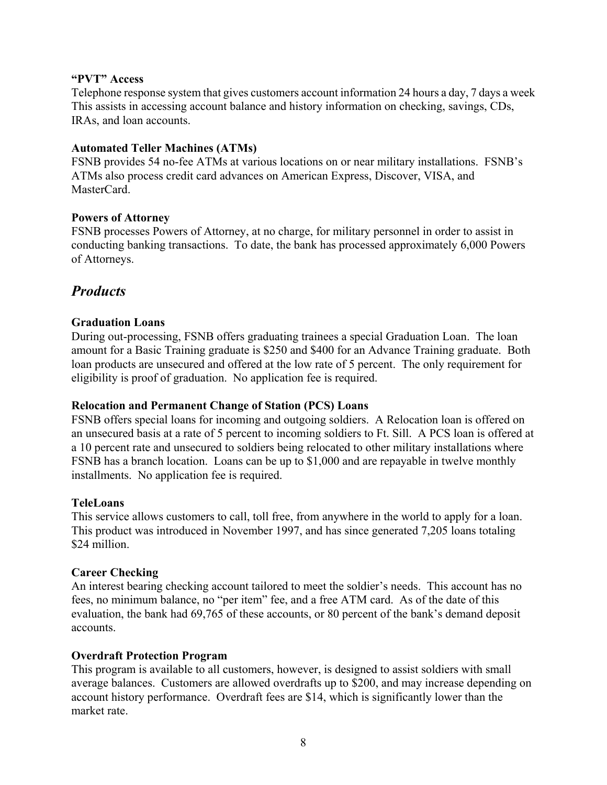#### **"PVT" Access**

Telephone response system that gives customers account information 24 hours a day, 7 days a week This assists in accessing account balance and history information on checking, savings, CDs, IRAs, and loan accounts.

#### **Automated Teller Machines (ATMs)**

FSNB provides 54 no-fee ATMs at various locations on or near military installations. FSNB's ATMs also process credit card advances on American Express, Discover, VISA, and MasterCard.

#### **Powers of Attorney**

FSNB processes Powers of Attorney, at no charge, for military personnel in order to assist in conducting banking transactions. To date, the bank has processed approximately 6,000 Powers of Attorneys.

### *Products*

#### **Graduation Loans**

During out-processing, FSNB offers graduating trainees a special Graduation Loan. The loan amount for a Basic Training graduate is \$250 and \$400 for an Advance Training graduate. Both loan products are unsecured and offered at the low rate of 5 percent. The only requirement for eligibility is proof of graduation. No application fee is required.

#### **Relocation and Permanent Change of Station (PCS) Loans**

FSNB offers special loans for incoming and outgoing soldiers. A Relocation loan is offered on an unsecured basis at a rate of 5 percent to incoming soldiers to Ft. Sill. A PCS loan is offered at a 10 percent rate and unsecured to soldiers being relocated to other military installations where FSNB has a branch location. Loans can be up to \$1,000 and are repayable in twelve monthly installments. No application fee is required.

#### **TeleLoans**

This service allows customers to call, toll free, from anywhere in the world to apply for a loan. This product was introduced in November 1997, and has since generated 7,205 loans totaling \$24 million.

#### **Career Checking**

An interest bearing checking account tailored to meet the soldier's needs. This account has no fees, no minimum balance, no "per item" fee, and a free ATM card. As of the date of this evaluation, the bank had 69,765 of these accounts, or 80 percent of the bank's demand deposit accounts.

#### **Overdraft Protection Program**

This program is available to all customers, however, is designed to assist soldiers with small average balances. Customers are allowed overdrafts up to \$200, and may increase depending on account history performance. Overdraft fees are \$14, which is significantly lower than the market rate.